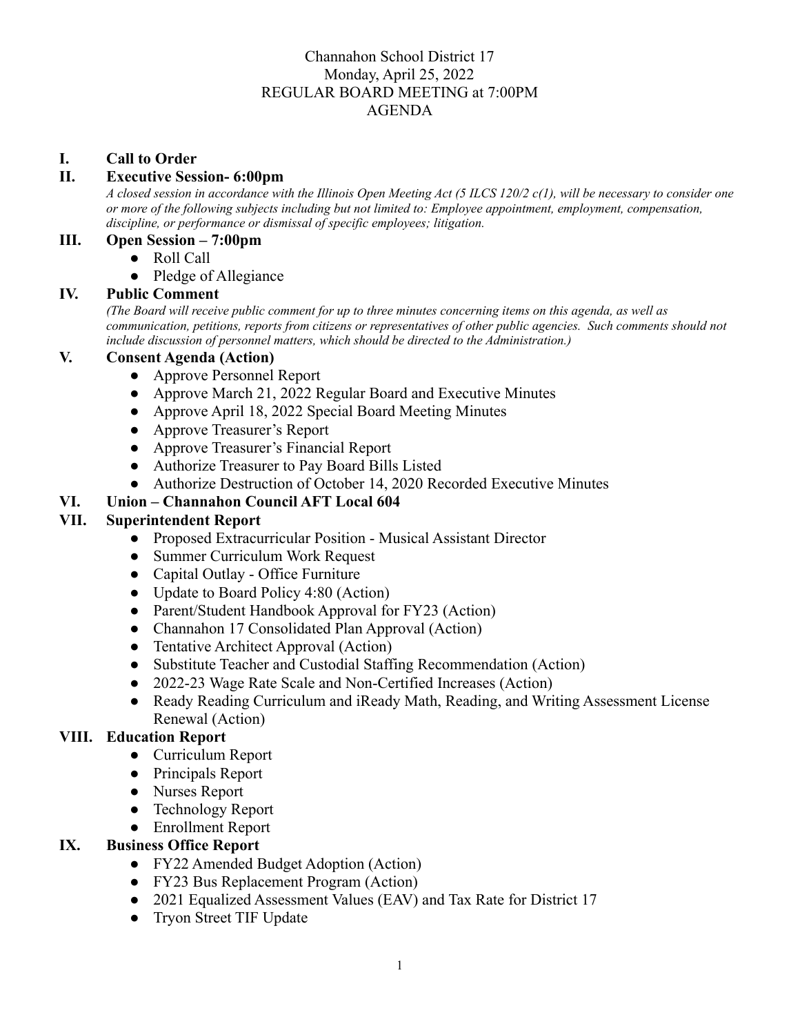## Channahon School District 17 Monday, April 25, 2022 REGULAR BOARD MEETING at 7:00PM AGENDA

#### **I. Call to Order**

#### **II. Executive Session- 6:00pm**

A closed session in accordance with the Illinois Open Meeting Act (5 ILCS 120/2 c(1), will be necessary to consider one *or more of the following subjects including but not limited to: Employee appointment, employment, compensation, discipline, or performance or dismissal of specific employees; litigation.*

#### **III. Open Session – 7:00pm**

- Roll Call
- **●** Pledge of Allegiance

#### **IV. Public Comment**

(The Board will receive public comment for up to three minutes concerning items on this agenda, as well as *communication, petitions, reports from citizens or representatives of other public agencies. Such comments should not include discussion of personnel matters, which should be directed to the Administration.)*

#### **V. Consent Agenda (Action)**

- **●** Approve Personnel Report
- **●** Approve March 21, 2022 Regular Board and Executive Minutes
- **●** Approve April 18, 2022 Special Board Meeting Minutes
- **●** Approve Treasurer's Report
- **●** Approve Treasurer's Financial Report
- **●** Authorize Treasurer to Pay Board Bills Listed
- **●** Authorize Destruction of October 14, 2020 Recorded Executive Minutes

## **VI. Union – Channahon Council AFT Local 604**

#### **VII. Superintendent Report**

- **●** Proposed Extracurricular Position Musical Assistant Director
- **●** Summer Curriculum Work Request
- **●** Capital Outlay Office Furniture
- **●** Update to Board Policy 4:80 (Action)
- **●** Parent/Student Handbook Approval for FY23 (Action)
- **●** Channahon 17 Consolidated Plan Approval (Action)
- **●** Tentative Architect Approval (Action)
- **●** Substitute Teacher and Custodial Staffing Recommendation (Action)
- **●** 2022-23 Wage Rate Scale and Non-Certified Increases (Action)
- **●** Ready Reading Curriculum and iReady Math, Reading, and Writing Assessment License Renewal (Action)

## **VIII. Education Report**

- Curriculum Report
- Principals Report
- Nurses Report
- Technology Report
- Enrollment Report

#### **IX. Business Office Report**

- FY22 Amended Budget Adoption (Action)
- FY23 Bus Replacement Program (Action)
- 2021 Equalized Assessment Values (EAV) and Tax Rate for District 17
- Tryon Street TIF Update